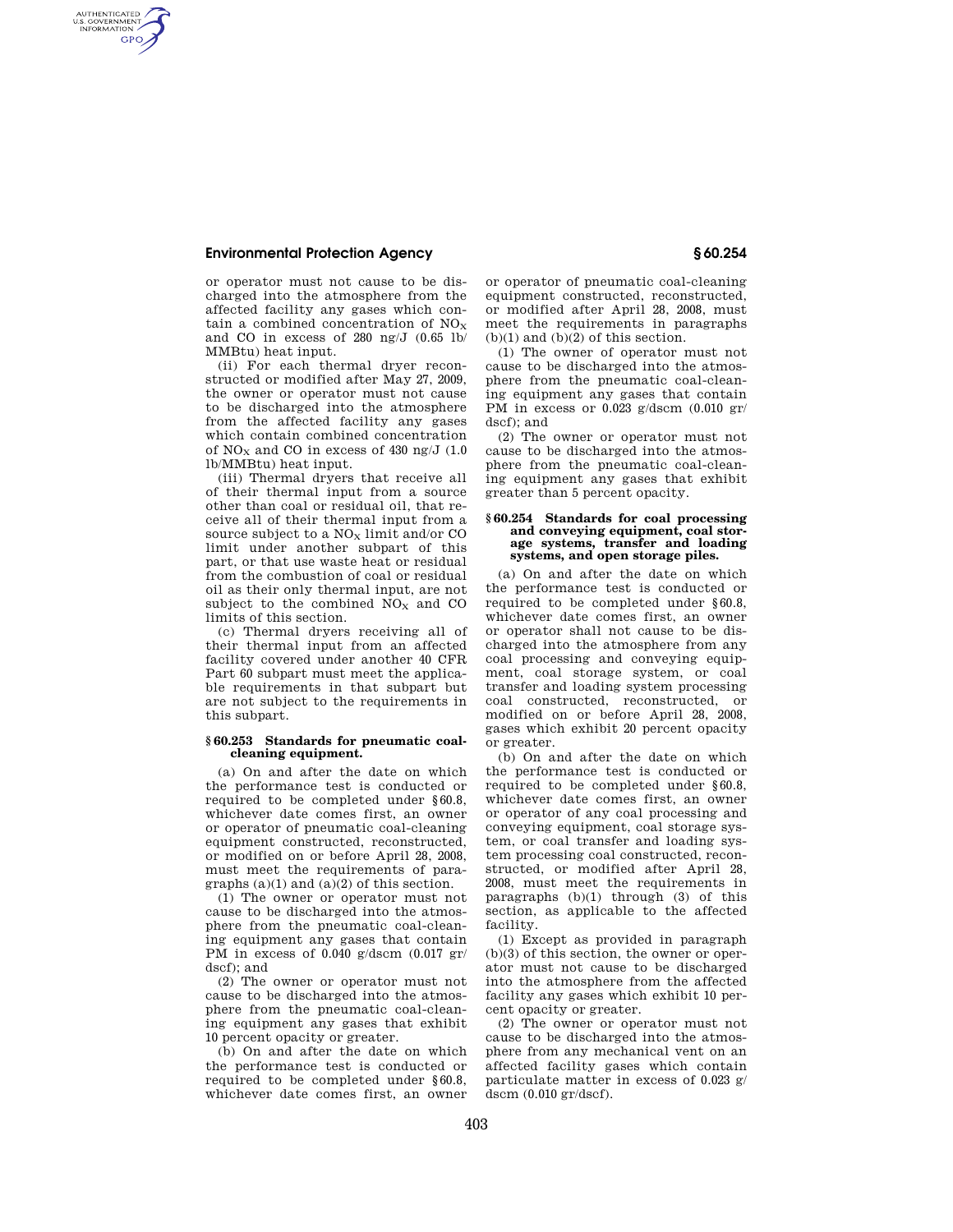## **Environmental Protection Agency § 60.254**

AUTHENTICATED<br>U.S. GOVERNMENT<br>INFORMATION **GPO** 

> or operator must not cause to be discharged into the atmosphere from the affected facility any gases which contain a combined concentration of  $NO<sub>x</sub>$ and CO in excess of 280 ng/J (0.65 lb/ MMBtu) heat input.

> (ii) For each thermal dryer reconstructed or modified after May 27, 2009, the owner or operator must not cause to be discharged into the atmosphere from the affected facility any gases which contain combined concentration of  $NO<sub>x</sub>$  and CO in excess of 430 ng/J (1.0) lb/MMBtu) heat input.

> (iii) Thermal dryers that receive all of their thermal input from a source other than coal or residual oil, that receive all of their thermal input from a source subject to a  $NO<sub>x</sub>$  limit and/or CO limit under another subpart of this part, or that use waste heat or residual from the combustion of coal or residual oil as their only thermal input, are not subject to the combined  $NO<sub>x</sub>$  and  $CO$ limits of this section.

> (c) Thermal dryers receiving all of their thermal input from an affected facility covered under another 40 CFR Part 60 subpart must meet the applicable requirements in that subpart but are not subject to the requirements in this subpart.

### **§ 60.253 Standards for pneumatic coalcleaning equipment.**

(a) On and after the date on which the performance test is conducted or required to be completed under §60.8, whichever date comes first, an owner or operator of pneumatic coal-cleaning equipment constructed, reconstructed, or modified on or before April 28, 2008, must meet the requirements of paragraphs  $(a)(1)$  and  $(a)(2)$  of this section.

(1) The owner or operator must not cause to be discharged into the atmosphere from the pneumatic coal-cleaning equipment any gases that contain PM in excess of 0.040 g/dscm (0.017 gr/ dscf); and

(2) The owner or operator must not cause to be discharged into the atmosphere from the pneumatic coal-cleaning equipment any gases that exhibit 10 percent opacity or greater.

(b) On and after the date on which the performance test is conducted or required to be completed under §60.8, whichever date comes first, an owner or operator of pneumatic coal-cleaning equipment constructed, reconstructed, or modified after April 28, 2008, must meet the requirements in paragraphs  $(b)(1)$  and  $(b)(2)$  of this section.

(1) The owner of operator must not cause to be discharged into the atmosphere from the pneumatic coal-cleaning equipment any gases that contain PM in excess or 0.023 g/dscm (0.010 gr/ dscf); and

(2) The owner or operator must not cause to be discharged into the atmosphere from the pneumatic coal-cleaning equipment any gases that exhibit greater than 5 percent opacity.

### **§ 60.254 Standards for coal processing and conveying equipment, coal storage systems, transfer and loading systems, and open storage piles.**

(a) On and after the date on which the performance test is conducted or required to be completed under §60.8, whichever date comes first, an owner or operator shall not cause to be discharged into the atmosphere from any coal processing and conveying equipment, coal storage system, or coal transfer and loading system processing coal constructed, reconstructed, or modified on or before April 28, 2008, gases which exhibit 20 percent opacity or greater.

(b) On and after the date on which the performance test is conducted or required to be completed under §60.8, whichever date comes first, an owner or operator of any coal processing and conveying equipment, coal storage system, or coal transfer and loading system processing coal constructed, reconstructed, or modified after April 28, 2008, must meet the requirements in paragraphs (b)(1) through (3) of this section, as applicable to the affected facility.

(1) Except as provided in paragraph (b)(3) of this section, the owner or operator must not cause to be discharged into the atmosphere from the affected facility any gases which exhibit 10 percent opacity or greater.

(2) The owner or operator must not cause to be discharged into the atmosphere from any mechanical vent on an affected facility gases which contain particulate matter in excess of 0.023 g/ dscm (0.010 gr/dscf).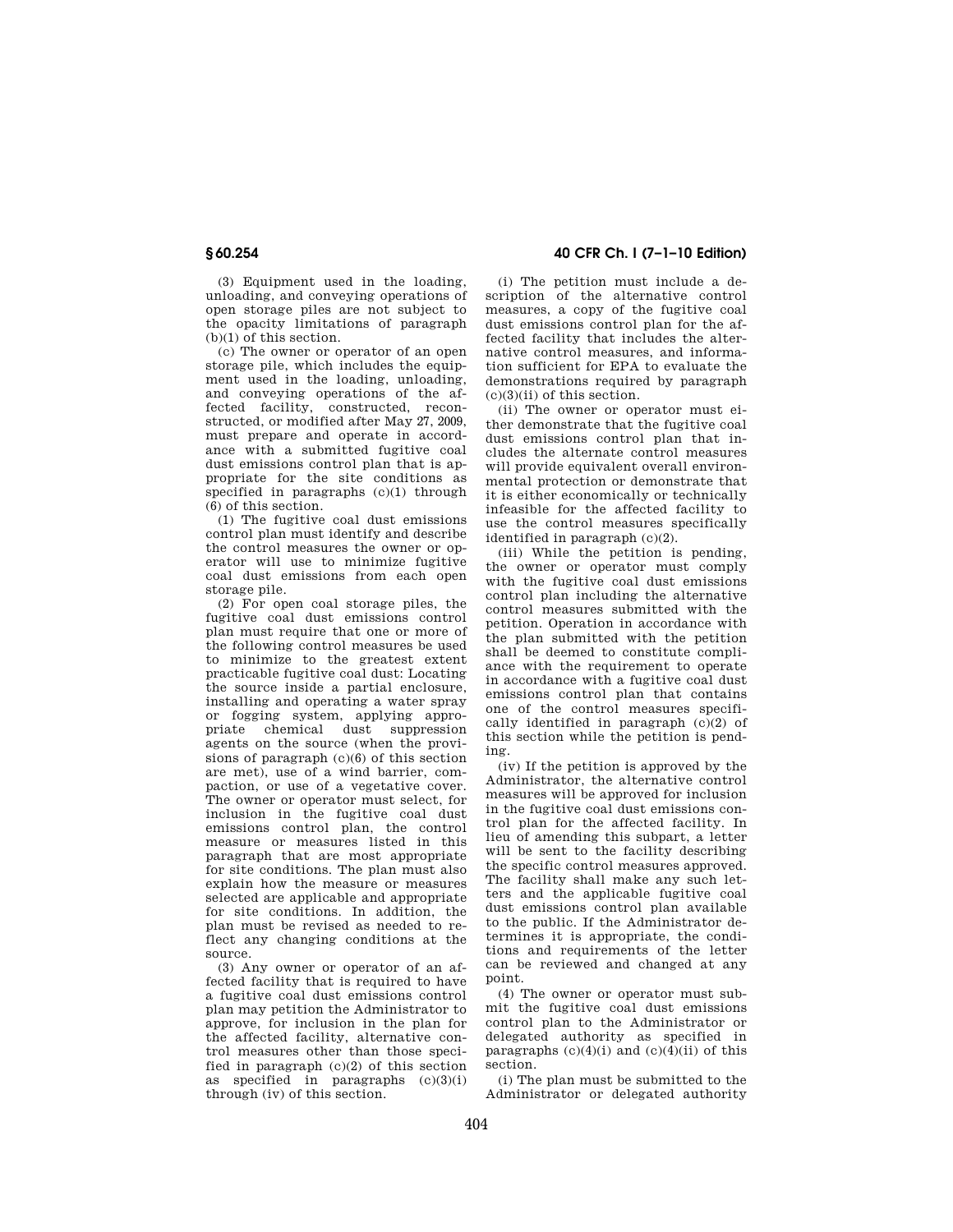(3) Equipment used in the loading, unloading, and conveying operations of open storage piles are not subject to the opacity limitations of paragraph (b)(1) of this section.

(c) The owner or operator of an open storage pile, which includes the equipment used in the loading, unloading, and conveying operations of the affected facility, constructed, reconstructed, or modified after May 27, 2009, must prepare and operate in accordance with a submitted fugitive coal dust emissions control plan that is appropriate for the site conditions as specified in paragraphs  $(c)(1)$  through (6) of this section.

(1) The fugitive coal dust emissions control plan must identify and describe the control measures the owner or operator will use to minimize fugitive coal dust emissions from each open storage pile.

(2) For open coal storage piles, the fugitive coal dust emissions control plan must require that one or more of the following control measures be used to minimize to the greatest extent practicable fugitive coal dust: Locating the source inside a partial enclosure, installing and operating a water spray or fogging system, applying appropriate chemical dust suppression agents on the source (when the provisions of paragraph (c)(6) of this section are met), use of a wind barrier, compaction, or use of a vegetative cover. The owner or operator must select, for inclusion in the fugitive coal dust emissions control plan, the control measure or measures listed in this paragraph that are most appropriate for site conditions. The plan must also explain how the measure or measures selected are applicable and appropriate for site conditions. In addition, the plan must be revised as needed to reflect any changing conditions at the source.

(3) Any owner or operator of an affected facility that is required to have a fugitive coal dust emissions control plan may petition the Administrator to approve, for inclusion in the plan for the affected facility, alternative control measures other than those specified in paragraph (c)(2) of this section as specified in paragraphs (c)(3)(i) through (iv) of this section.

# **§ 60.254 40 CFR Ch. I (7–1–10 Edition)**

(i) The petition must include a description of the alternative control measures, a copy of the fugitive coal dust emissions control plan for the affected facility that includes the alternative control measures, and information sufficient for EPA to evaluate the demonstrations required by paragraph  $(c)(3)(ii)$  of this section.

(ii) The owner or operator must either demonstrate that the fugitive coal dust emissions control plan that includes the alternate control measures will provide equivalent overall environmental protection or demonstrate that it is either economically or technically infeasible for the affected facility to use the control measures specifically identified in paragraph (c)(2).

(iii) While the petition is pending, the owner or operator must comply with the fugitive coal dust emissions control plan including the alternative control measures submitted with the petition. Operation in accordance with the plan submitted with the petition shall be deemed to constitute compliance with the requirement to operate in accordance with a fugitive coal dust emissions control plan that contains one of the control measures specifically identified in paragraph (c)(2) of this section while the petition is pending.

(iv) If the petition is approved by the Administrator, the alternative control measures will be approved for inclusion in the fugitive coal dust emissions control plan for the affected facility. In lieu of amending this subpart, a letter will be sent to the facility describing the specific control measures approved. The facility shall make any such letters and the applicable fugitive coal dust emissions control plan available to the public. If the Administrator determines it is appropriate, the conditions and requirements of the letter can be reviewed and changed at any point.

(4) The owner or operator must submit the fugitive coal dust emissions control plan to the Administrator or delegated authority as specified in paragraphs  $(c)(4)(i)$  and  $(c)(4)(ii)$  of this section.

(i) The plan must be submitted to the Administrator or delegated authority